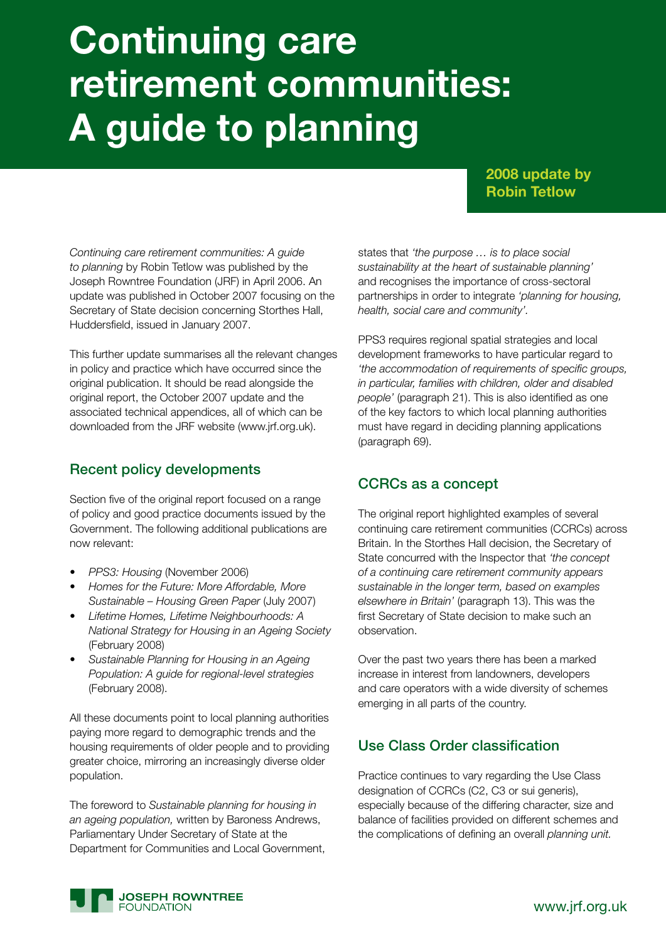# **Continuing care retirement communities: A guide to planning**

#### **2008 update by Robin Tetlow**

*Continuing care retirement communities: A guide to planning* by Robin Tetlow was published by the Joseph Rowntree Foundation (JRF) in April 2006. An update was published in October 2007 focusing on the Secretary of State decision concerning Storthes Hall, Huddersfield, issued in January 2007.

This further update summarises all the relevant changes in policy and practice which have occurred since the original publication. It should be read alongside the original report, the October 2007 update and the associated technical appendices, all of which can be downloaded from the JRF website (www.jrf.org.uk).

### Recent policy developments

Section five of the original report focused on a range of policy and good practice documents issued by the Government. The following additional publications are now relevant:

- **PPS3: Housing (November 2006)**
- **Homes for the Future: More Affordable, More** *Sustainable – Housing Green Paper* (July 2007)
- Lifetime Homes, Lifetime Neighbourhoods: A *National Strategy for Housing in an Ageing Society*  (February 2008)
- **Sustainable Planning for Housing in an Ageing** *Population: A guide for regional-level strategies*  (February 2008).

All these documents point to local planning authorities paying more regard to demographic trends and the housing requirements of older people and to providing greater choice, mirroring an increasingly diverse older population.

The foreword to *Sustainable planning for housing in an ageing population,* written by Baroness Andrews, Parliamentary Under Secretary of State at the Department for Communities and Local Government, states that *'the purpose … is to place social sustainability at the heart of sustainable planning'*  and recognises the importance of cross-sectoral partnerships in order to integrate *'planning for housing, health, social care and community'.*

PPS3 requires regional spatial strategies and local development frameworks to have particular regard to *'the accommodation of requirements of specific groups, in particular, families with children, older and disabled people'* (paragraph 21). This is also identified as one of the key factors to which local planning authorities must have regard in deciding planning applications (paragraph 69).

### CCRCs as a concept

The original report highlighted examples of several continuing care retirement communities (CCRCs) across Britain. In the Storthes Hall decision, the Secretary of State concurred with the Inspector that *'the concept of a continuing care retirement community appears sustainable in the longer term, based on examples elsewhere in Britain'* (paragraph 13). This was the first Secretary of State decision to make such an observation.

Over the past two years there has been a marked increase in interest from landowners, developers and care operators with a wide diversity of schemes emerging in all parts of the country.

### Use Class Order classification

Practice continues to vary regarding the Use Class designation of CCRCs (C2, C3 or sui generis), especially because of the differing character, size and balance of facilities provided on different schemes and the complications of defining an overall *planning unit.*